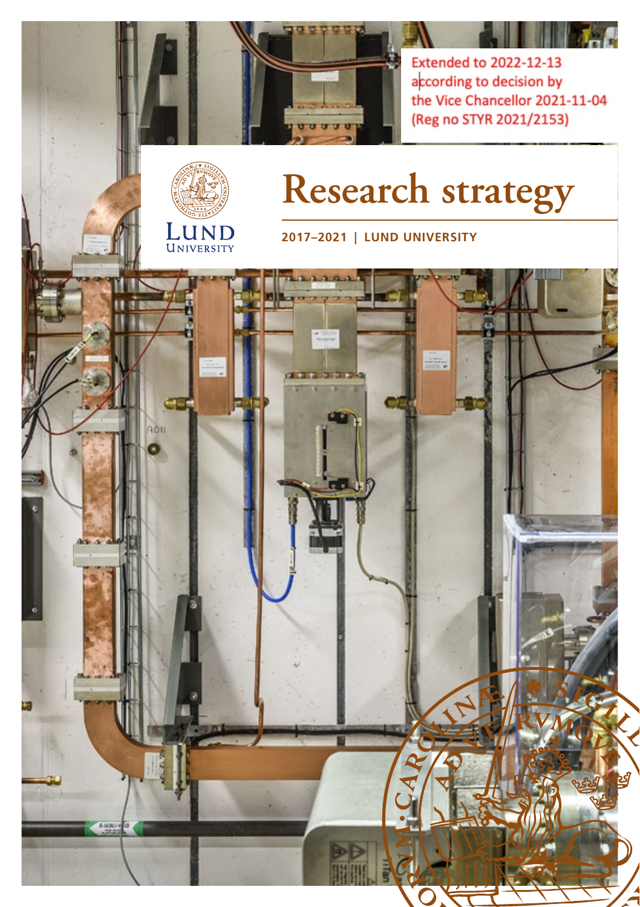

**Extended to 2022-12-13** according to decision by the Vice Chancellor 2021-11-04 (Reg no STYR 2021/2153)



# **Research strategy**

**2017–2021 | LUND UNIVERSITY**

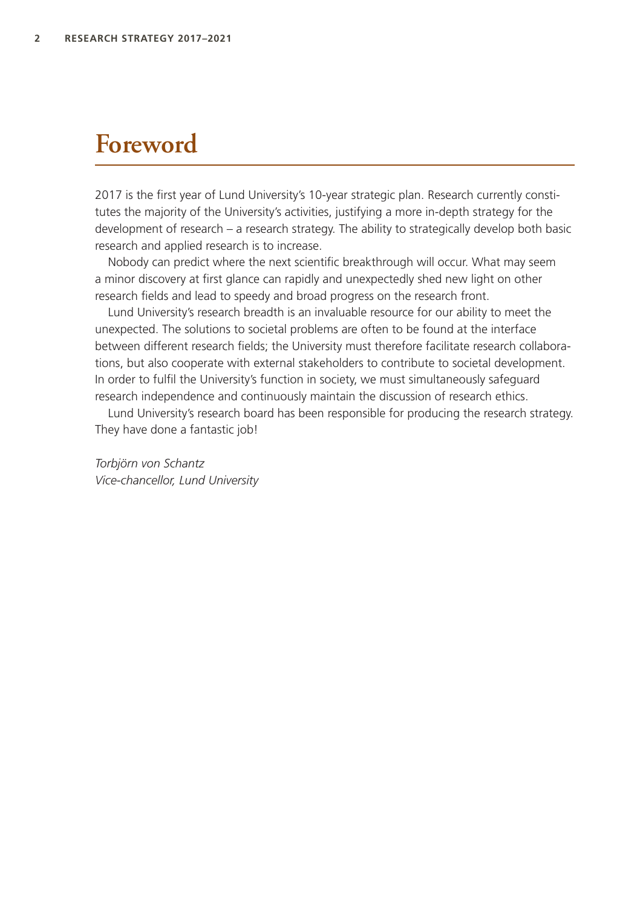## **Foreword**

2017 is the first year of Lund University's 10-year strategic plan. Research currently constitutes the majority of the University's activities, justifying a more in-depth strategy for the development of research – a research strategy. The ability to strategically develop both basic research and applied research is to increase.

Nobody can predict where the next scientific breakthrough will occur. What may seem a minor discovery at first glance can rapidly and unexpectedly shed new light on other research fields and lead to speedy and broad progress on the research front.

Lund University's research breadth is an invaluable resource for our ability to meet the unexpected. The solutions to societal problems are often to be found at the interface between different research fields; the University must therefore facilitate research collaborations, but also cooperate with external stakeholders to contribute to societal development. In order to fulfil the University's function in society, we must simultaneously safeguard research independence and continuously maintain the discussion of research ethics.

Lund University's research board has been responsible for producing the research strategy. They have done a fantastic job!

*Torbjörn von Schantz Vice-chancellor, Lund University*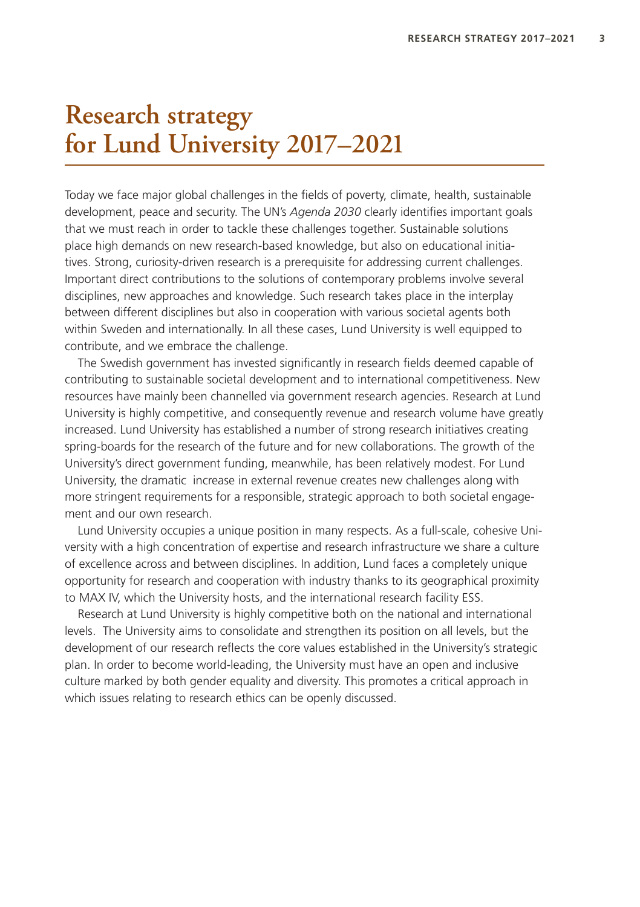## **Research strategy for Lund University 2017–2021**

Today we face major global challenges in the fields of poverty, climate, health, sustainable development, peace and security. The UN's *Agenda 2030* clearly identifies important goals that we must reach in order to tackle these challenges together. Sustainable solutions place high demands on new research-based knowledge, but also on educational initiatives. Strong, curiosity-driven research is a prerequisite for addressing current challenges. Important direct contributions to the solutions of contemporary problems involve several disciplines, new approaches and knowledge. Such research takes place in the interplay between different disciplines but also in cooperation with various societal agents both within Sweden and internationally. In all these cases, Lund University is well equipped to contribute, and we embrace the challenge.

The Swedish government has invested significantly in research fields deemed capable of contributing to sustainable societal development and to international competitiveness. New resources have mainly been channelled via government research agencies. Research at Lund University is highly competitive, and consequently revenue and research volume have greatly increased. Lund University has established a number of strong research initiatives creating spring-boards for the research of the future and for new collaborations. The growth of the University's direct government funding, meanwhile, has been relatively modest. For Lund University, the dramatic increase in external revenue creates new challenges along with more stringent requirements for a responsible, strategic approach to both societal engagement and our own research.

Lund University occupies a unique position in many respects. As a full-scale, cohesive University with a high concentration of expertise and research infrastructure we share a culture of excellence across and between disciplines. In addition, Lund faces a completely unique opportunity for research and cooperation with industry thanks to its geographical proximity to MAX IV, which the University hosts, and the international research facility ESS.

Research at Lund University is highly competitive both on the national and international levels. The University aims to consolidate and strengthen its position on all levels, but the development of our research reflects the core values established in the University's strategic plan. In order to become world-leading, the University must have an open and inclusive culture marked by both gender equality and diversity. This promotes a critical approach in which issues relating to research ethics can be openly discussed.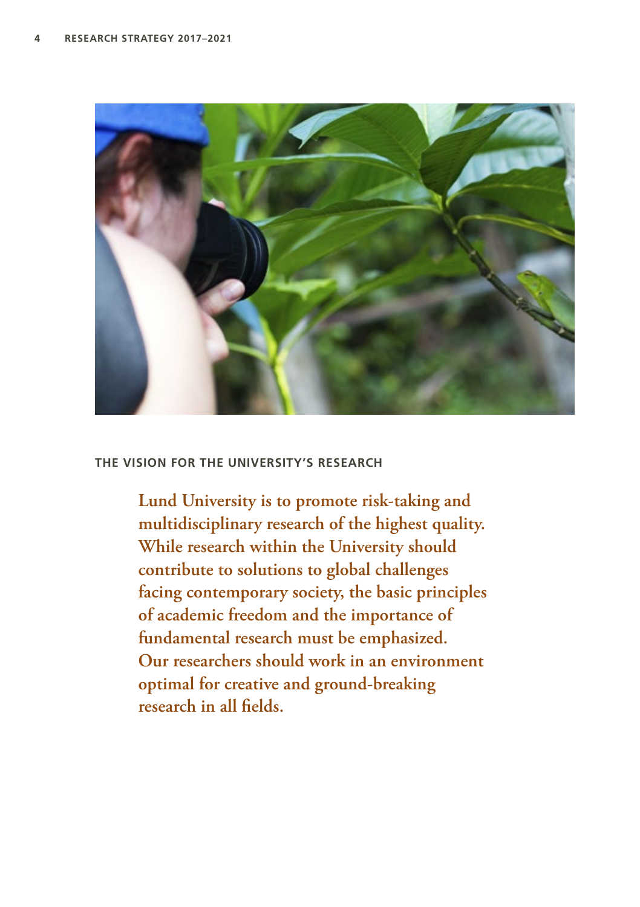

#### **THE VISION FOR THE UNIVERSITY'S RESEARCH**

**Lund University is to promote risk-taking and multidisciplinary research of the highest quality. While research within the University should contribute to solutions to global challenges facing contemporary society, the basic principles of academic freedom and the importance of fundamental research must be emphasized. Our researchers should work in an environment optimal for creative and ground-breaking research in all fields.**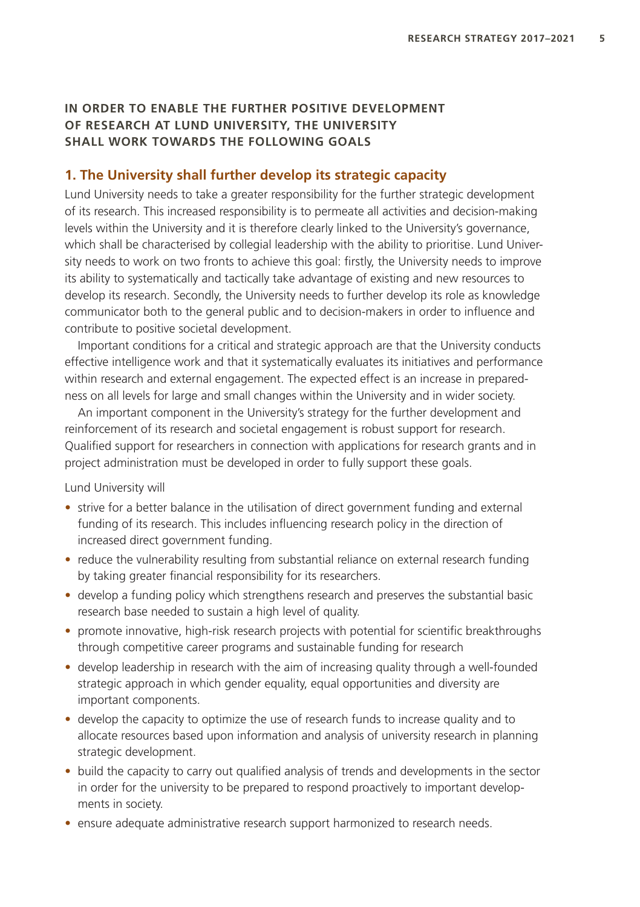#### **IN ORDER TO ENABLE THE FURTHER POSITIVE DEVELOPMENT OF RESEARCH AT LUND UNIVERSITY, THE UNIVERSITY SHALL WORK TOWARDS THE FOLLOWING GOALS**

#### **1. The University shall further develop its strategic capacity**

Lund University needs to take a greater responsibility for the further strategic development of its research. This increased responsibility is to permeate all activities and decision-making levels within the University and it is therefore clearly linked to the University's governance, which shall be characterised by collegial leadership with the ability to prioritise. Lund University needs to work on two fronts to achieve this goal: firstly, the University needs to improve its ability to systematically and tactically take advantage of existing and new resources to develop its research. Secondly, the University needs to further develop its role as knowledge communicator both to the general public and to decision-makers in order to influence and contribute to positive societal development.

Important conditions for a critical and strategic approach are that the University conducts effective intelligence work and that it systematically evaluates its initiatives and performance within research and external engagement. The expected effect is an increase in preparedness on all levels for large and small changes within the University and in wider society.

An important component in the University's strategy for the further development and reinforcement of its research and societal engagement is robust support for research. Qualified support for researchers in connection with applications for research grants and in project administration must be developed in order to fully support these goals.

- strive for a better balance in the utilisation of direct government funding and external funding of its research. This includes influencing research policy in the direction of increased direct government funding.
- reduce the vulnerability resulting from substantial reliance on external research funding by taking greater financial responsibility for its researchers.
- develop a funding policy which strengthens research and preserves the substantial basic research base needed to sustain a high level of quality.
- promote innovative, high-risk research projects with potential for scientific breakthroughs through competitive career programs and sustainable funding for research
- develop leadership in research with the aim of increasing quality through a well-founded strategic approach in which gender equality, equal opportunities and diversity are important components.
- develop the capacity to optimize the use of research funds to increase quality and to allocate resources based upon information and analysis of university research in planning strategic development.
- build the capacity to carry out qualified analysis of trends and developments in the sector in order for the university to be prepared to respond proactively to important developments in society.
- ensure adequate administrative research support harmonized to research needs.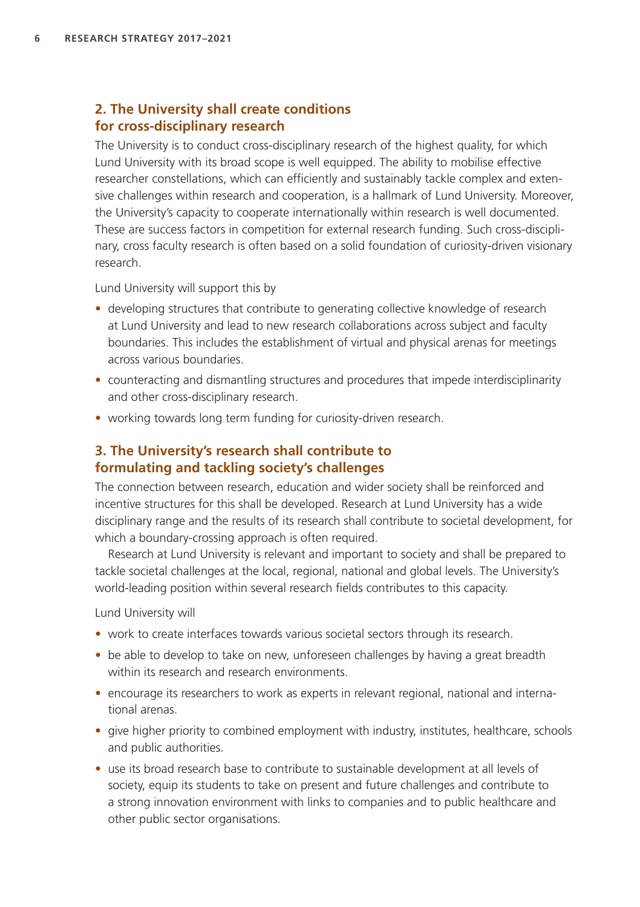#### **2. The University shall create conditions for cross-disciplinary research**

The University is to conduct cross-disciplinary research of the highest quality, for which Lund University with its broad scope is well equipped. The ability to mobilise effective researcher constellations, which can efficiently and sustainably tackle complex and extensive challenges within research and cooperation, is a hallmark of Lund University. Moreover, the University's capacity to cooperate internationally within research is well documented. These are success factors in competition for external research funding. Such cross-disciplinary, cross faculty research is often based on a solid foundation of curiosity-driven visionary research.

Lund University will support this by

- developing structures that contribute to generating collective knowledge of research at Lund University and lead to new research collaborations across subject and faculty boundaries. This includes the establishment of virtual and physical arenas for meetings across various boundaries.
- counteracting and dismantling structures and procedures that impede interdisciplinarity and other cross-disciplinary research.
- working towards long term funding for curiosity-driven research.

#### **3. The University's research shall contribute to formulating and tackling society's challenges**

The connection between research, education and wider society shall be reinforced and incentive structures for this shall be developed. Research at Lund University has a wide disciplinary range and the results of its research shall contribute to societal development, for which a boundary-crossing approach is often required.

Research at Lund University is relevant and important to society and shall be prepared to tackle societal challenges at the local, regional, national and global levels. The University's world-leading position within several research fields contributes to this capacity.

- work to create interfaces towards various societal sectors through its research.
- be able to develop to take on new, unforeseen challenges by having a great breadth within its research and research environments.
- encourage its researchers to work as experts in relevant regional, national and international arenas.
- give higher priority to combined employment with industry, institutes, healthcare, schools and public authorities.
- use its broad research base to contribute to sustainable development at all levels of society, equip its students to take on present and future challenges and contribute to a strong innovation environment with links to companies and to public healthcare and other public sector organisations.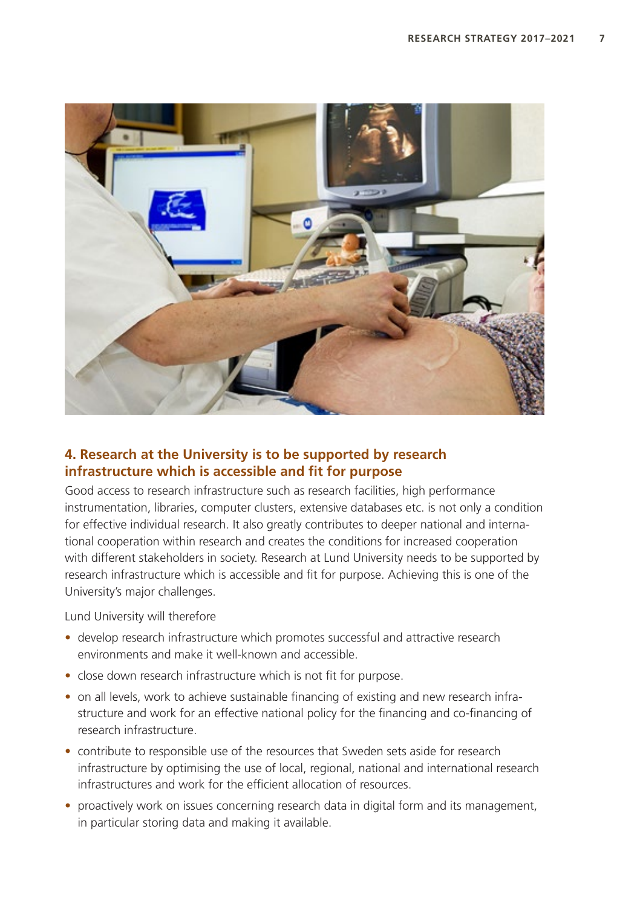

### **4. Research at the University is to be supported by research infrastructure which is accessible and fit for purpose**

Good access to research infrastructure such as research facilities, high performance instrumentation, libraries, computer clusters, extensive databases etc. is not only a condition for effective individual research. It also greatly contributes to deeper national and international cooperation within research and creates the conditions for increased cooperation with different stakeholders in society. Research at Lund University needs to be supported by research infrastructure which is accessible and fit for purpose. Achieving this is one of the University's major challenges.

Lund University will therefore

- develop research infrastructure which promotes successful and attractive research environments and make it well-known and accessible.
- close down research infrastructure which is not fit for purpose.
- on all levels, work to achieve sustainable financing of existing and new research infrastructure and work for an effective national policy for the financing and co-financing of research infrastructure.
- contribute to responsible use of the resources that Sweden sets aside for research infrastructure by optimising the use of local, regional, national and international research infrastructures and work for the efficient allocation of resources.
- proactively work on issues concerning research data in digital form and its management, in particular storing data and making it available.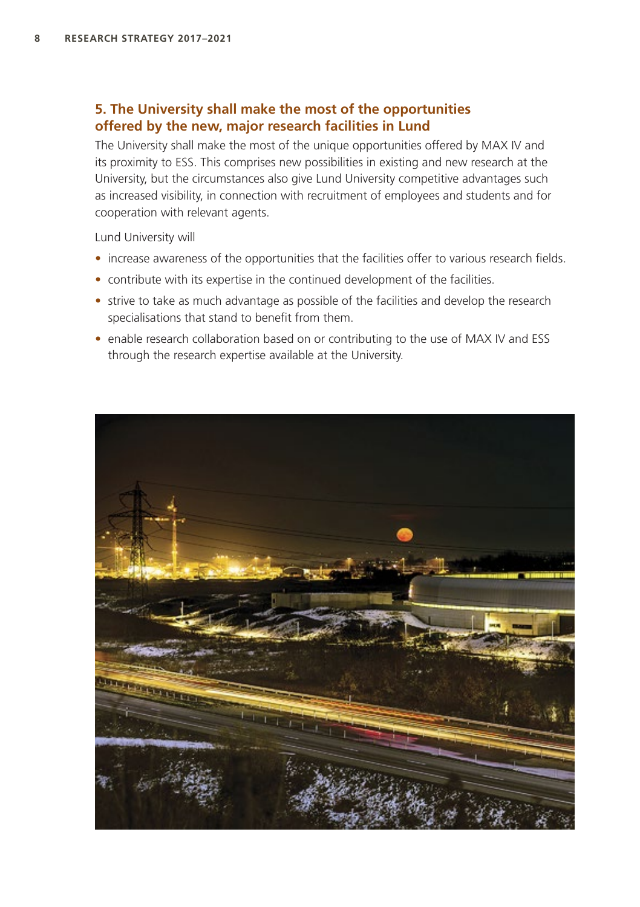#### **5. The University shall make the most of the opportunities offered by the new, major research facilities in Lund**

The University shall make the most of the unique opportunities offered by MAX IV and its proximity to ESS. This comprises new possibilities in existing and new research at the University, but the circumstances also give Lund University competitive advantages such as increased visibility, in connection with recruitment of employees and students and for cooperation with relevant agents.

- increase awareness of the opportunities that the facilities offer to various research fields.
- contribute with its expertise in the continued development of the facilities.
- strive to take as much advantage as possible of the facilities and develop the research specialisations that stand to benefit from them.
- enable research collaboration based on or contributing to the use of MAX IV and ESS through the research expertise available at the University.

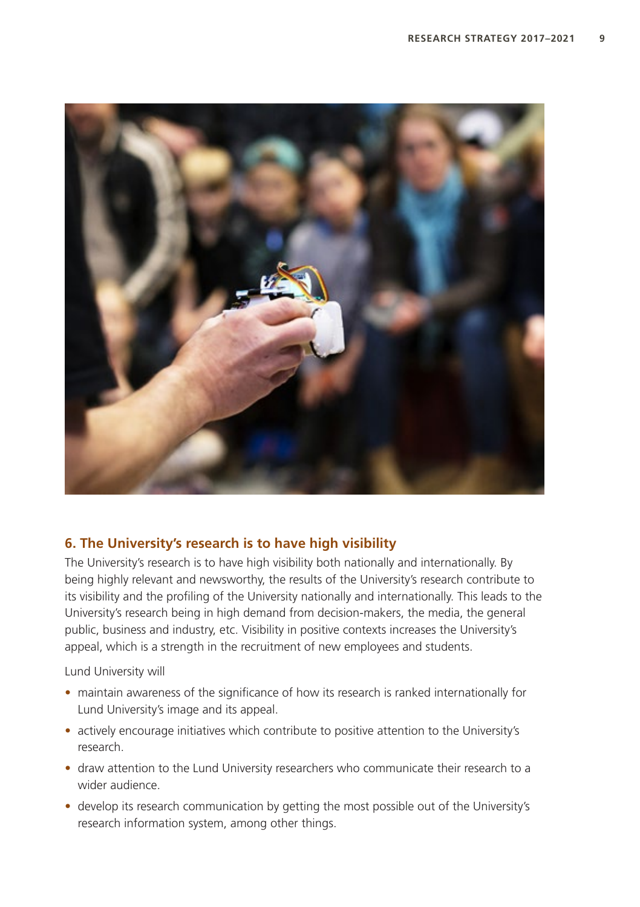

### **6. The University's research is to have high visibility**

The University's research is to have high visibility both nationally and internationally. By being highly relevant and newsworthy, the results of the University's research contribute to its visibility and the profiling of the University nationally and internationally. This leads to the University's research being in high demand from decision-makers, the media, the general public, business and industry, etc. Visibility in positive contexts increases the University's appeal, which is a strength in the recruitment of new employees and students.

- maintain awareness of the significance of how its research is ranked internationally for Lund University's image and its appeal.
- actively encourage initiatives which contribute to positive attention to the University's research.
- draw attention to the Lund University researchers who communicate their research to a wider audience.
- develop its research communication by getting the most possible out of the University's research information system, among other things.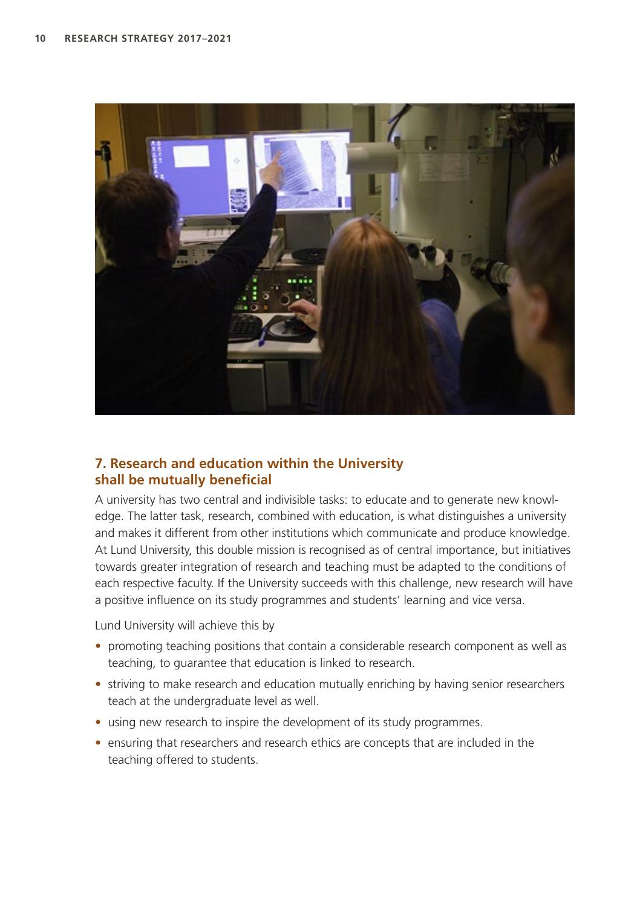

### **7. Research and education within the University shall be mutually beneficial**

A university has two central and indivisible tasks: to educate and to generate new knowledge. The latter task, research, combined with education, is what distinguishes a university and makes it different from other institutions which communicate and produce knowledge. At Lund University, this double mission is recognised as of central importance, but initiatives towards greater integration of research and teaching must be adapted to the conditions of each respective faculty. If the University succeeds with this challenge, new research will have a positive influence on its study programmes and students' learning and vice versa.

Lund University will achieve this by

- promoting teaching positions that contain a considerable research component as well as teaching, to guarantee that education is linked to research.
- striving to make research and education mutually enriching by having senior researchers teach at the undergraduate level as well.
- using new research to inspire the development of its study programmes.
- ensuring that researchers and research ethics are concepts that are included in the teaching offered to students.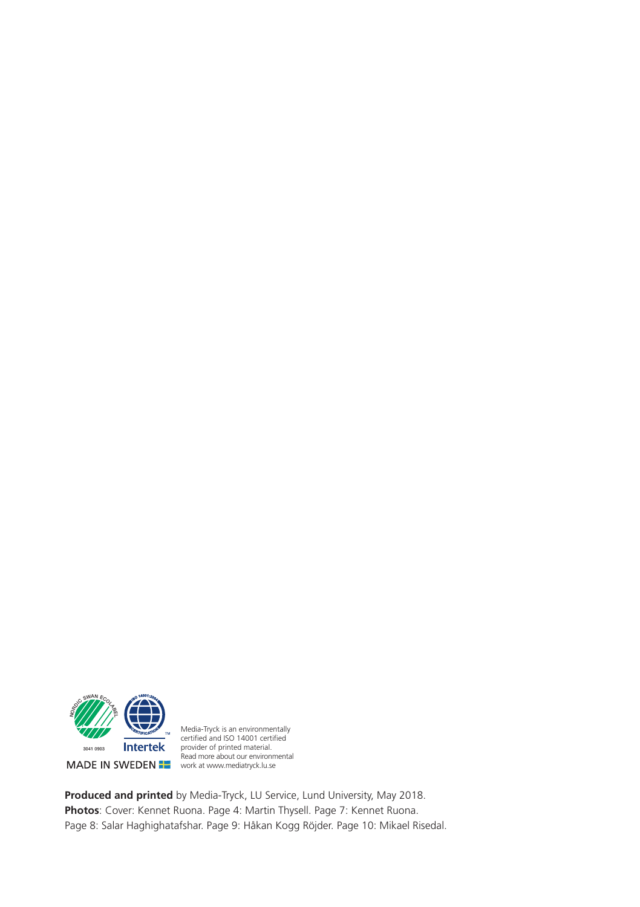

Media-Tryck is an environmentally<br>certified and ISO 14001 certified provider of printed material. Read more about our environmental work at www.mediatryck.lu.se

**Produced and printed** by Media-Tryck, LU Service, Lund University, May 2018. **Photos**: Cover: Kennet Ruona. Page 4: Martin Thysell. Page 7: Kennet Ruona. Page 8: Salar Haghighatafshar. Page 9: Håkan Kogg Röjder. Page 10: Mikael Risedal.